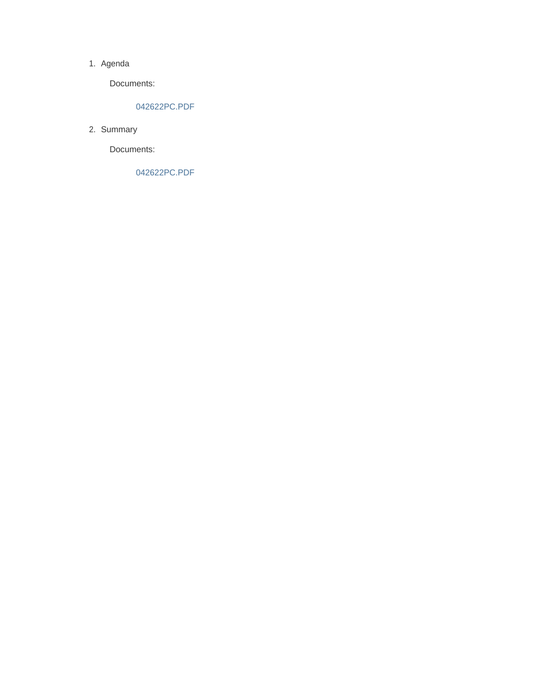#### 1. Agenda

Documents:

#### 042622PC.PDF

2. Summary

Documents:

042622PC.PDF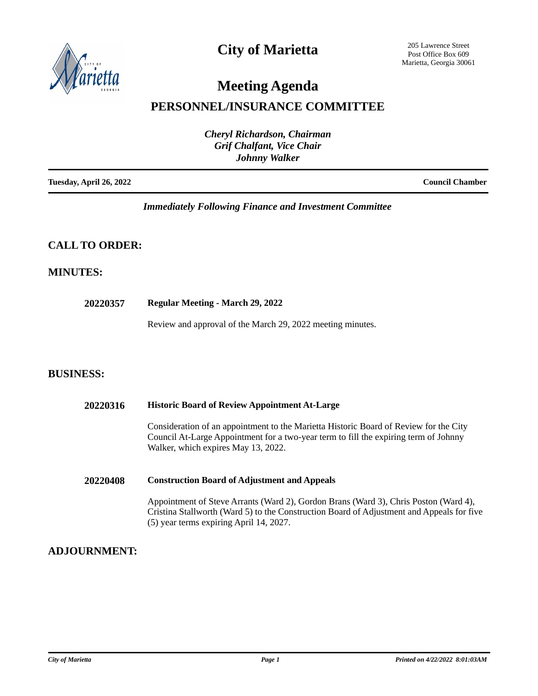

## **City of Marietta**

205 Lawrence Street Post Office Box 609 Marietta, Georgia 30061

# **Meeting Agenda**

## **PERSONNEL/INSURANCE COMMITTEE**

| <b>Cheryl Richardson, Chairman</b><br><b>Grif Chalfant, Vice Chair</b><br><b>Johnny Walker</b> |                        |
|------------------------------------------------------------------------------------------------|------------------------|
| Tuesday, April 26, 2022                                                                        | <b>Council Chamber</b> |

#### *Immediately Following Finance and Investment Committee*

### **CALL TO ORDER:**

#### **MINUTES:**

**20220357 Regular Meeting - March 29, 2022**

Review and approval of the March 29, 2022 meeting minutes.

#### **BUSINESS:**

| <b>Historic Board of Review Appointment At-Large</b>                                                                                                                                                                         |  |
|------------------------------------------------------------------------------------------------------------------------------------------------------------------------------------------------------------------------------|--|
| Consideration of an appointment to the Marietta Historic Board of Review for the City<br>Council At-Large Appointment for a two-year term to fill the expiring term of Johnny<br>Walker, which expires May 13, 2022.         |  |
| <b>Construction Board of Adjustment and Appeals</b>                                                                                                                                                                          |  |
| Appointment of Steve Arrants (Ward 2), Gordon Brans (Ward 3), Chris Poston (Ward 4),<br>Cristina Stallworth (Ward 5) to the Construction Board of Adjustment and Appeals for five<br>(5) year terms expiring April 14, 2027. |  |
|                                                                                                                                                                                                                              |  |

### **ADJOURNMENT:**